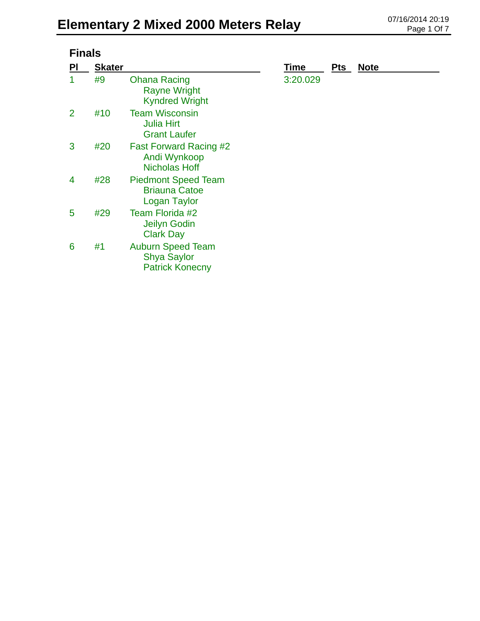| <b>Finals</b> |               |                                                                          |             |            |             |  |  |
|---------------|---------------|--------------------------------------------------------------------------|-------------|------------|-------------|--|--|
| PI            | <b>Skater</b> |                                                                          | <b>Time</b> | <b>Pts</b> | <b>Note</b> |  |  |
|               | #9            | <b>Ohana Racing</b><br><b>Rayne Wright</b><br><b>Kyndred Wright</b>      | 3:20.029    |            |             |  |  |
| 2             | #10           | <b>Team Wisconsin</b><br><b>Julia Hirt</b><br><b>Grant Laufer</b>        |             |            |             |  |  |
| 3             | #20           | <b>Fast Forward Racing #2</b><br>Andi Wynkoop<br><b>Nicholas Hoff</b>    |             |            |             |  |  |
| 4             | #28           | <b>Piedmont Speed Team</b><br><b>Briauna Catoe</b><br>Logan Taylor       |             |            |             |  |  |
| 5             | #29           | Team Florida #2<br>Jeilyn Godin<br><b>Clark Day</b>                      |             |            |             |  |  |
| 6             | #1            | <b>Auburn Speed Team</b><br><b>Shya Saylor</b><br><b>Patrick Konecny</b> |             |            |             |  |  |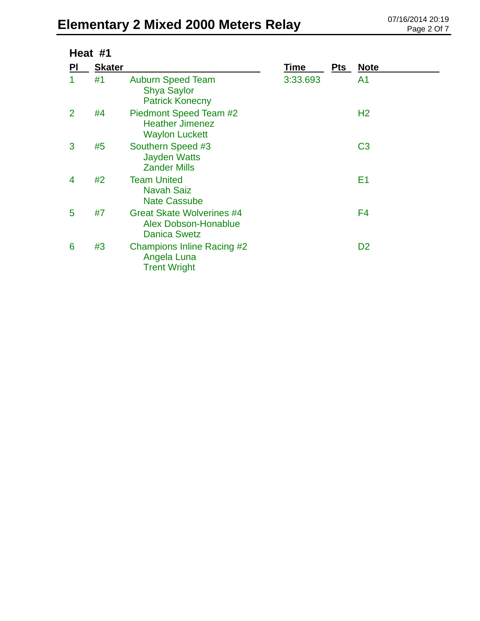# Elementary 2 Mixed 2000 Meters Relay 07/16/2014 20:19

| Heat #1        |               |                                                                                 |          |     |                |  |
|----------------|---------------|---------------------------------------------------------------------------------|----------|-----|----------------|--|
| PI             | <b>Skater</b> |                                                                                 | Time     | Pts | <b>Note</b>    |  |
| 1              | #1            | <b>Auburn Speed Team</b><br><b>Shya Saylor</b><br><b>Patrick Konecny</b>        | 3:33.693 |     | A <sub>1</sub> |  |
| $\overline{2}$ | #4            | Piedmont Speed Team #2<br><b>Heather Jimenez</b><br><b>Waylon Luckett</b>       |          |     | H <sub>2</sub> |  |
| 3              | #5            | Southern Speed #3<br><b>Jayden Watts</b><br><b>Zander Mills</b>                 |          |     | C <sub>3</sub> |  |
| 4              | #2            | <b>Team United</b><br><b>Navah Saiz</b><br><b>Nate Cassube</b>                  |          |     | E <sub>1</sub> |  |
| 5              | #7            | <b>Great Skate Wolverines #4</b><br>Alex Dobson-Honablue<br><b>Danica Swetz</b> |          |     | F4             |  |
| 6              | #3            | Champions Inline Racing #2<br>Angela Luna<br><b>Trent Wright</b>                |          |     | D <sub>2</sub> |  |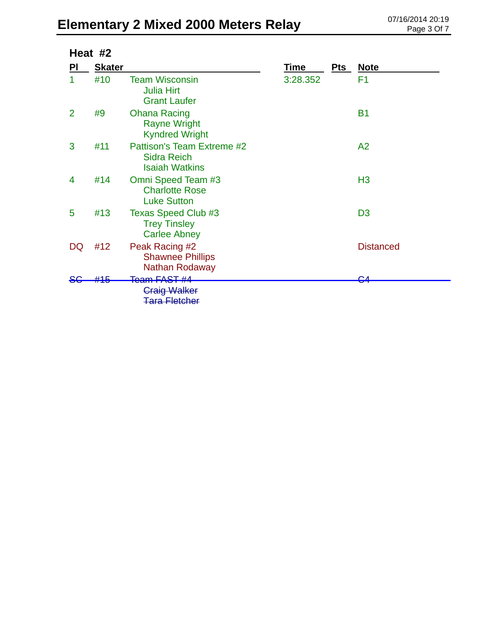# Elementary 2 Mixed 2000 Meters Relay **DELEMENTER 20:19** D7/16/2014 20:19

| Heat #2        |               |                                                                           |          |     |                  |  |
|----------------|---------------|---------------------------------------------------------------------------|----------|-----|------------------|--|
| PI             | <b>Skater</b> |                                                                           | Time     | Pts | <u>Note</u>      |  |
|                | #10           | <b>Team Wisconsin</b><br><b>Julia Hirt</b><br><b>Grant Laufer</b>         | 3:28.352 |     | F1               |  |
| $\overline{2}$ | #9            | <b>Ohana Racing</b><br><b>Rayne Wright</b><br><b>Kyndred Wright</b>       |          |     | <b>B1</b>        |  |
| 3              | #11           | Pattison's Team Extreme #2<br><b>Sidra Reich</b><br><b>Isaiah Watkins</b> |          |     | A2               |  |
| 4              | #14           | Omni Speed Team #3<br><b>Charlotte Rose</b><br><b>Luke Sutton</b>         |          |     | H <sub>3</sub>   |  |
| 5              | #13           | <b>Texas Speed Club #3</b><br><b>Trey Tinsley</b><br><b>Carlee Abney</b>  |          |     | D <sub>3</sub>   |  |
| DQ             | #12           | Peak Racing #2<br><b>Shawnee Phillips</b><br><b>Nathan Rodaway</b>        |          |     | <b>Distanced</b> |  |
|                | 44 E          | <del>Team FAST #4</del><br><b>Craig Walker</b><br><b>Tara Fletcher</b>    |          |     | ◠                |  |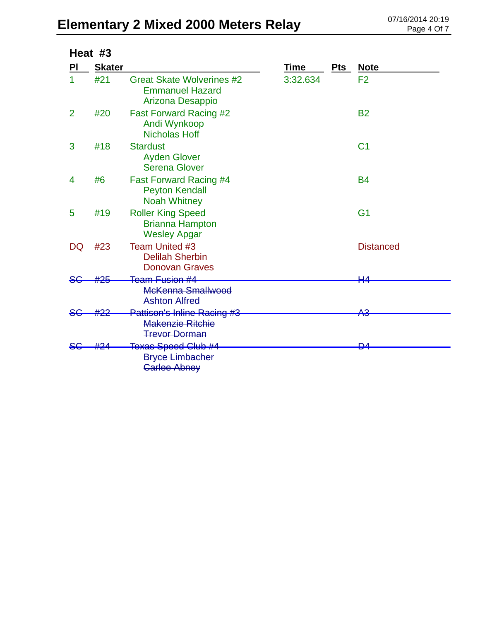### Elementary 2 Mixed 2000 Meters Relay 07/16/2014 20:19

|                | Heat #3       |                                                                                 |             |     |                  |
|----------------|---------------|---------------------------------------------------------------------------------|-------------|-----|------------------|
| PI             | <b>Skater</b> |                                                                                 | <b>Time</b> | Pts | <b>Note</b>      |
|                | #21           | <b>Great Skate Wolverines #2</b><br><b>Emmanuel Hazard</b><br>Arizona Desappio  | 3:32.634    |     | F <sub>2</sub>   |
| $\overline{2}$ | #20           | <b>Fast Forward Racing #2</b><br>Andi Wynkoop<br><b>Nicholas Hoff</b>           |             |     | <b>B2</b>        |
| 3              | #18           | <b>Stardust</b><br><b>Ayden Glover</b><br><b>Serena Glover</b>                  |             |     | C <sub>1</sub>   |
| 4              | #6            | <b>Fast Forward Racing #4</b><br><b>Peyton Kendall</b><br><b>Noah Whitney</b>   |             |     | <b>B4</b>        |
| 5              | #19           | <b>Roller King Speed</b><br><b>Brianna Hampton</b><br><b>Wesley Apgar</b>       |             |     | G <sub>1</sub>   |
| DQ             | #23           | Team United #3<br><b>Delilah Sherbin</b><br><b>Donovan Graves</b>               |             |     | <b>Distanced</b> |
|                | #25           | Team Fusion #4<br>McKenna Smallwood<br><b>Ashton Alfred</b>                     |             |     | <u>ци</u>        |
|                |               | Pattison's Inline Racing #3<br><b>Makenzie Ritchie</b><br><b>Trevor Dorman</b>  |             |     | <del>АЗ</del>    |
|                |               | <del>Texas Speed Club #4</del><br><b>Bryce Limbacher</b><br><b>Carlee Abney</b> |             |     | ₽4               |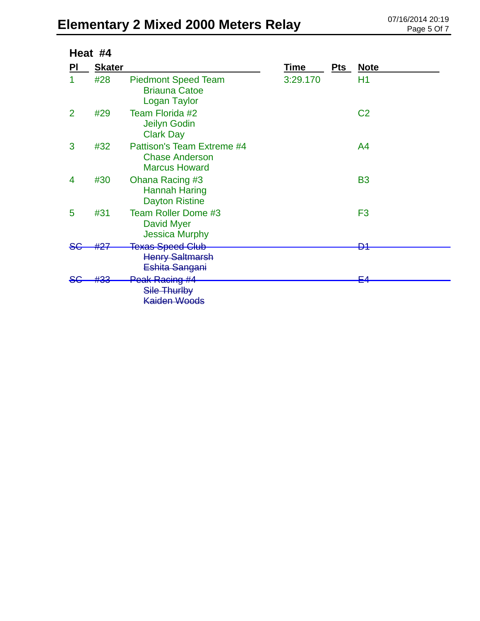# Elementary 2 Mixed 2000 Meters Relay **DELEMENTER 20:19** D7/16/2014 20:19

| Heat #4        |               |                                                                             |          |     |                |
|----------------|---------------|-----------------------------------------------------------------------------|----------|-----|----------------|
| PI             | <b>Skater</b> |                                                                             | Time     | Pts | <u>Note</u>    |
|                | #28           | <b>Piedmont Speed Team</b><br><b>Briauna Catoe</b><br><b>Logan Taylor</b>   | 3:29.170 |     | H1             |
| $\overline{2}$ | #29           | Team Florida #2<br>Jeilyn Godin<br><b>Clark Day</b>                         |          |     | C <sub>2</sub> |
| 3              | #32           | Pattison's Team Extreme #4<br><b>Chase Anderson</b><br><b>Marcus Howard</b> |          |     | A4             |
| 4              | #30           | Ohana Racing #3<br><b>Hannah Haring</b><br><b>Dayton Ristine</b>            |          |     | <b>B3</b>      |
| 5              | #31           | <b>Team Roller Dome #3</b><br>David Myer<br><b>Jessica Murphy</b>           |          |     | F <sub>3</sub> |
|                | #27           | <b>Texas Speed Club</b><br><b>Henry Saltmarsh</b><br>Eshita Sangani         |          |     | D1             |
|                |               |                                                                             |          |     | ⊑⊿             |
|                |               | Peak Racing #4<br>Sile Thurlby<br><b>Kaiden Woods</b>                       |          |     |                |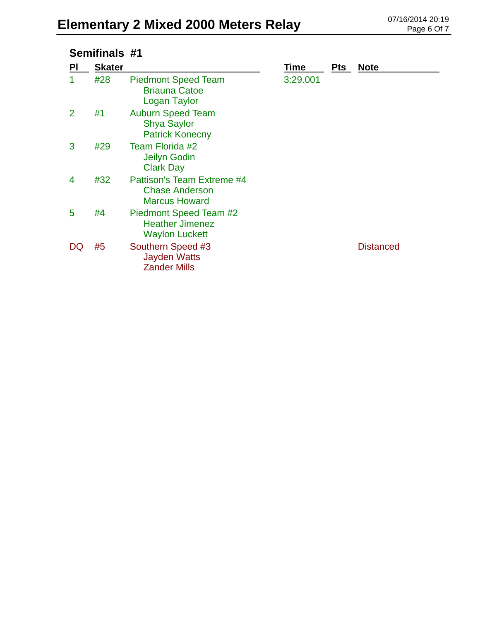### Elementary 2 Mixed 2000 Meters Relay **DRIG All Allementary 2 Mixed 2000 Meters Relay**

| Semifinals #1 |               |                                                                             |          |            |                  |
|---------------|---------------|-----------------------------------------------------------------------------|----------|------------|------------------|
| <b>PI</b>     | <b>Skater</b> |                                                                             | Time     | <b>Pts</b> | <b>Note</b>      |
|               | #28           | <b>Piedmont Speed Team</b><br><b>Briauna Catoe</b><br><b>Logan Taylor</b>   | 3:29.001 |            |                  |
| 2             | #1            | <b>Auburn Speed Team</b><br><b>Shya Saylor</b><br><b>Patrick Konecny</b>    |          |            |                  |
| 3             | #29           | Team Florida #2<br>Jeilyn Godin<br><b>Clark Day</b>                         |          |            |                  |
| 4             | #32           | Pattison's Team Extreme #4<br><b>Chase Anderson</b><br><b>Marcus Howard</b> |          |            |                  |
| 5             | #4            | Piedmont Speed Team #2<br><b>Heather Jimenez</b><br><b>Waylon Luckett</b>   |          |            |                  |
| DQ            | #5            | Southern Speed #3<br><b>Jayden Watts</b><br><b>Zander Mills</b>             |          |            | <b>Distanced</b> |